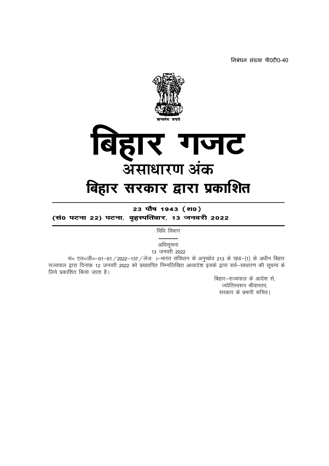निबंधन संख्या पी0टी0-40



23 पौष 1943 (श0) (सं0 पटना 22) पटना, वृहस्पतिवार, 13 जनवरी 2022

विधि विभाग

अधिसूचना 13 जनवरी 2022

सं० एल०जी०-01-01 / 2022-137 / लेजः ।-भारत संविधान के अनुच्छेद 213 के खंड-(1) के अधीन बिहार राज्यपाल द्वारा दिनांक 12 जनवरी 2022 को प्रख्यापित निम्नलिखित अध्यादेश इसके द्वारा सर्व–साधारण की सूचना के लिये प्रकाशित किया जाता है।

> बिहार-राज्यपाल के आदेश से, ज्योतिस्वरूप श्रीवास्तव, सरकार के प्रभारी सचिव।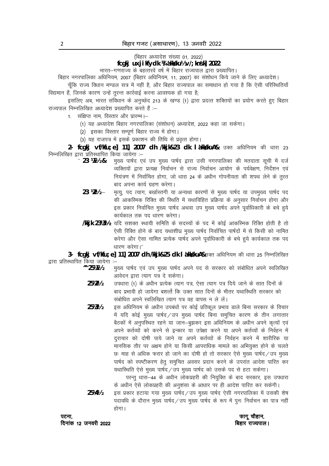(बिहार अध्यादेश संख्या 01, 2022)

# fcqkj uxjikfydk ¼ dkksku½ v/; knsk] 2022

भारत-गणराज्य के बहत्तरवें वर्ष में बिहार राज्यपाल द्वारा प्रख्यापित।

बिहार नगरपालिका अधिनियम, 2007 (बिहार अधिनियम, 11, 2007) का संशोधन किये जाने के लिए अध्यादेश।

चूँकि राज्य विधान मण्डल सत्र में नहीं है, और बिहार राज्यपाल का समाधान हो गया है कि ऐसी परिस्थितियाँ विद्यमान हैं, जिनके कारण उन्हें तुरन्त कार्रवाई करना आवश्यक हो गया है;

इसलिए अब. भारत संविधान के अनच्छेद 213 के खण्ड (1) द्वारा प्रदत्त शक्तियों का प्रयोग करते हुए बिहार राज्यपाल निम्नलिखित अध्यादेश प्रख्यापित करते हैं :-

- 1. संक्षिप्त नाम, विस्तार और प्रारम्भ।-
	- (1) यह अध्यादेश बिहार नगरपालिका (संशोधन) अध्यादेश, 2022 कहा जा सकेगा।
	- (2) इसका विस्तार सम्पूर्ण बिहार राज्य में होगा।
	- (3) यह राजपत्र में इसके प्रकाशन की तिथि से प्रवृत्त होगा।

2- fcqkj vf/kfu; e] 11] 2007 dh /kkjk&23 dk l akkskuA& उक्त अधिनियम की धारा 23 निम्नलिखित द्वारा प्रतिस्थापित किया जायेगा :-

- " 23 Will & मुख्य पार्षद एवं उप मुख्य पार्षद द्वारा उसी नगरपालिका की मतदाता सूची में दर्ज व्यक्तियों द्वारा प्रत्यक्ष निर्वाचन से राज्य निर्वाचन आयोग के पर्यवेक्षण, निर्देशन एवं नियंत्रण में निर्वाचित होगा, जो धारा 24 के अधीन गोपनीयता की शपथ लेने के तूरत बाद अपना कार्य ग्रहण करेगा।
	- $23 W_2 -$ मृत्यु, पद त्याग, बर्खास्तगी या अन्यथा कारणों से मुख्य पार्षद या उपमुख्य पार्षद पद की आकरिमक रिक्ति की स्थिति में यथाविहित प्रक्रिया के अनुसार निर्वाचन होगा और इस प्रकार निर्वाचित मुख्य पार्षद अथवा उप मुख्य पार्षद अपने पूर्वाधिकारी के बचे हये कार्यकाल तक पद धारण करेगा।
	- /kkjk 23¼½- यदि सशक्त स्थायी समिति के सदस्यों के पद में कोई आकस्मिक रिक्ति होती है तो ऐसी रिक्ति होने के बाद यथाशीघ्र मुख्य पार्षद निर्वाचित पार्षदों में से किसी को नामित करेगा और ऐसा नामित प्रत्येक पार्षद अपने पूर्वाधिकारी के बचे हुये कार्यकाल तक पद धारण करेगा।"

3- fcgkj vf/kfu; e] 11] 2007 dh /kkjk&25 dk I akkskuA&उक्त अधिनियम की धारा 25 निम्नलिखित द्वारा प्रतिस्थापित किया जायेगा :-

- $^{\prime\prime}$  25¼1½ मुख्य पार्षद एवं उप मुख्य पार्षद अपने पद से सरकार को संबोधित अपने स्वलिखित आवेदन द्वारा त्याग पत्र दे सकेगा।
	- 251/21/2 उपधारा (1) के अधीन प्रत्येक त्याग पत्र, ऐसा त्याग पत्र दिये जाने के सात दिनों के बाद प्रभावी हो जायेगा बशर्त्त कि उक्त सात दिनों के भीतर यथास्थिति सरकार को संबोधित अपने स्वलिखित त्याग पत्र वह वापस न ले लें।
	- 251/31/2 इस अधिनियम के अधीन उपबंधों पर कोई प्रतिकल प्रभाव डाले बिना सरकार के विचार में यदि कोई मुख्य पार्षद/उप मुख्य पार्षद बिना समुचित कारण के तीन लगातार बैठकों में अनुपस्थित रहने या जान-बुझकर इस अधिनियम के अधीन अपने कृत्यों एवं अपने कर्तव्यों को करने से इन्कार या उपेक्षा करने या अपने कर्तव्यों के निर्वहन में दराचार को दोषी पाये जाने या अपने कर्तव्यों के निर्वहन करने में शारीरिक या मानसिक तौर पर अक्षम होने या किसी आपराधिक मामले का अभियुक्त होने के चलते छः माह से अधिक फरार हो जाने का दोषी हो तो सरकार ऐसे मुख्य पार्षद / उप मुख्य पार्षद को स्पष्टीकरण हेतू समुचित अवसर प्रदान करने के उपरांत आदेश पारित कर यथास्थिति ऐसे मुख्य पार्षद/उप मुख्य पार्षद को उसके पद से हटा सकेगा।

परन्तू धारा-44 के अधीन लोकप्रहरी की नियुक्ति के बाद सरकार, इस उपधारा के अधीन ऐसे लोकप्रहरी की अनुशंसा के आधार पर ही आदेश पारित कर सकेगी।

इस प्रकार हटाया गया मुख्य पार्षद / उप मुख्य पार्षद ऐसी नगरपालिका में उसकी शेष 25141/2 पदावधि के दौरान मुख्य पार्षद / उप मुख्य पार्षद के रूप में पुनः निर्वाचन का पात्र नहीं होगा।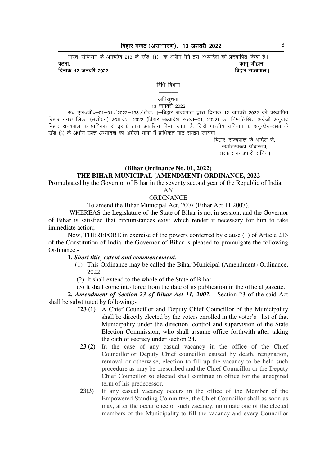*Hkkjr&lafo/kku ds vuqPNsn 213 d s [kaM&¼1½ ds v/khu eSus bl v/;kns'k dks ç[;kfir fd;k gSA*  iVuk] Qkxw pkSgku] Qkxw pkSgku]

 $f$ दिनांक 12 जनवरी 2022

*fata farm* 

#### **———** अधिसूचना 13 जनवरी 2022

सं० एल०जी०-01-01 / 2022-138 / लेजः ।-बिहार राज्यपाल द्वारा दिनांक 12 जनवरी 2022 को प्रख्यापित *fcgkj uxjikfydk ¼l a'kks/ku½ v/;kns'k] 2022 ¼fcgkj v/;kns'k la[;k&01] 2022½ dk fuEufyf[kr vaxzsth vuqokn fcgkj jkT;iky ds i zkf/kdkj l s blds }kjk izdkf'kr fd;k tkrk gS] ftls Hkkjrh; lafo/kku d s vuqPNsn&348 ds [kaM ¼3½ ds v/khu mDr v/;kns'k dk vaxs zth Hkk"kk esa izkf/kÑr ikB le>k tk;sxkA* 

> *fcgkj&jkT;iky ds vkns'k l s] T;ksfrLo:i JhokLro] ljdkj ds izHkkjh lfpoA*

# **(Bihar Ordinance No. 01, 2022) THE BIHAR MUNICIPAL (AMENDMENT) ORDINANCE, 2022**

Promulgated by the Governor of Bihar in the seventy second year of the Republic of India

AN

# **ORDINANCE**

To amend the Bihar Municipal Act, 2007 (Bihar Act 11,2007).

 WHEREAS the Legislature of the State of Bihar is not in session, and the Governor of Bihar is satisfied that circumstances exist which render it necessary for him to take immediate action;

 Now, THEREFORE in exercise of the powers conferred by clause (1) of Article 213 of the Constitution of India, the Governor of Bihar is pleased to promulgate the following Ordinance:-

# **1.** *Short title, extent and commencement.—*

- (1) This Ordinance may be called the Bihar Municipal (Amendment) Ordinance, 2022.
- (2) It shall extend to the whole of the State of Bihar.
- (3) It shall come into force from the date of its publication in the official gazette.

**2.** *Amendment of Section-23 of Bihar Act 11, 2007.—*Section 23 of the said Act shall be substituted by following:-

- "**23 (1)** A Chief Councillor and Deputy Chief Councillor of the Municipality shall be directly elected by the voters enrolled in the voter's list of that Municipality under the direction, control and supervision of the State Election Commission, who shall assume office forthwith after taking the oath of secrecy under section 24.
- **23 (2)** In the case of any casual vacancy in the office of the Chief Councillor or Deputy Chief councillor caused by death, resignation, removal or otherwise, election to fill up the vacancy to be held such procedure as may be prescribed and the Chief Councillor or the Deputy Chief Councillor so elected shall continue in office for the unexpired term of his predecessor.
- **23(3)** If any casual vacancy occurs in the office of the Member of the Empowered Standing Committee, the Chief Councillor shall as soon as may, after the occurrence of such vacancy, nominate one of the elected members of the Municipality to fill the vacancy and every Councillor